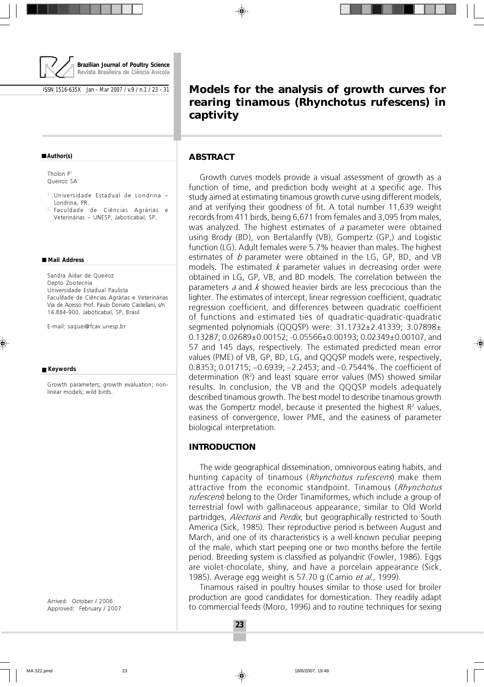

ISSN 1516-635X Jan - Mar 2007 / v.9 / n.1 / 23 - 31

#### **Author(s)**

Tholon P<sup>1</sup> Queiroz SA<sup>2</sup>

- <sup>1</sup> Universidade Estadual de Londrina Londrina, PR.
- <sup>2</sup> Faculdade de Ciências Agrárias e Veterinárias – UNESP, Jaboticabal, SP.

#### **Mail Address**

Sandra Aidar de Queiroz Depto Zootecnia Universidade Estadual Paulista Faculdade de Ciências Agrárias e Veterinárias Via de Acesso Prof. Paulo Donato Castellani, s/n 14.884-900. Jaboticabal, SP, Brasil

E-mail: saquei@fcav.unesp.br

#### **Keywords**

Growth parameters; growth evaluation; nonlinear models; wild birds.

Arrived: October / 2006 Approved: February / 2007

# **Models for the analysis of growth curves for rearing tinamous (***Rhynchotus rufescens***) in captivity**

### **ABSTRACT**

Growth curves models provide a visual assessment of growth as a function of time, and prediction body weight at a specific age. This study aimed at estimating tinamous growth curve using different models, and at verifying their goodness of fit. A total number 11,639 weight records from 411 birds, being 6,671 from females and 3,095 from males, was analyzed. The highest estimates of a parameter were obtained using Brody (BD), von Bertalanffy (VB), Gompertz (GP,) and Logistic function (LG). Adult females were 5.7% heavier than males. The highest estimates of  $b$  parameter were obtained in the LG, GP, BD, and VB models. The estimated  $k$  parameter values in decreasing order were obtained in LG, GP, VB, and BD models. The correlation between the parameters  $a$  and  $k$  showed heavier birds are less precocious than the lighter. The estimates of intercept, linear regression coefficient, quadratic regression coefficient, and differences between quadratic coefficient of functions and estimated ties of quadratic-quadratic-quadratic segmented polynomials (QQQSP) were: 31.1732±2.41339; 3.07898± 0.13287; 0.02689±0.00152; -0.05566±0.00193; 0.02349±0.00107, and 57 and 145 days, respectively. The estimated predicted mean error values (PME) of VB, GP, BD, LG, and QQQSP models were, respectively, 0.8353; 0.01715; –0.6939; –2.2453; and –0.7544%. The coefficient of determination (R<sup>2</sup> ) and least square error values (MS) showed similar results. In conclusion, the VB and the QQQSP models adequately described tinamous growth. The best model to describe tinamous growth was the Gompertz model, because it presented the highest  $\mathsf{R}^{\mathsf{2}}$  values, easiness of convergence, lower PME, and the easiness of parameter biological interpretation.

# **INTRODUCTION**

The wide geographical dissemination, omnivorous eating habits, and hunting capacity of tinamous (Rhynchotus rufescens) make them attractive from the economic standpoint. Tinamous (Rhynchotus rufescens) belong to the Order Tinamiformes, which include a group of terrestrial fowl with gallinaceous appearance, similar to Old World partridges, *Alectoris* and *Perdix*, but geographically restricted to South America (Sick, 1985). Their reproductive period is between August and March, and one of its characteristics is a well-known peculiar peeping of the male, which start peeping one or two months before the fertile period. Breeding system is classified as polyandric (Fowler, 1986). Eggs are violet-chocolate, shiny, and have a porcelain appearance (Sick, 1985). Average egg weight is 57.70 g (Carnio et al., 1999).

Tinamous raised in poultry houses similar to those used for broiler production are good candidates for domestication. They readily adapt to commercial feeds (Moro, 1996) and to routine techniques for sexing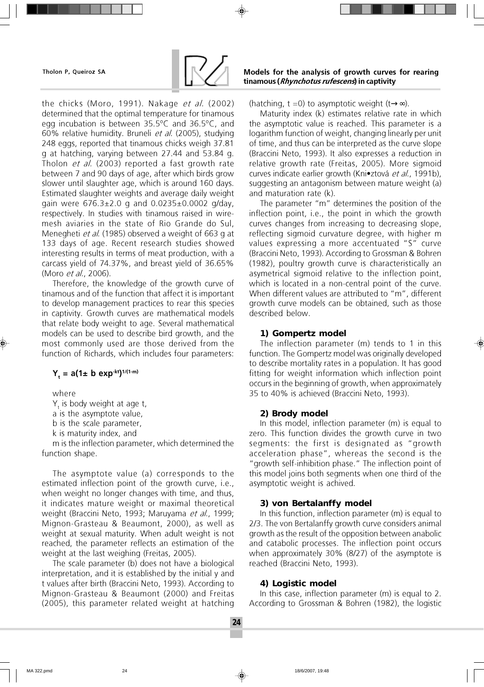

the chicks (Moro, 1991). Nakage et al. (2002) determined that the optimal temperature for tinamous egg incubation is between 35.5ºC and 36.5ºC, and 60% relative humidity. Bruneli et al. (2005), studying 248 eggs, reported that tinamous chicks weigh 37.81 g at hatching, varying between 27.44 and 53.84 g. Tholon et al. (2003) reported a fast growth rate between 7 and 90 days of age, after which birds grow slower until slaughter age, which is around 160 days. Estimated slaughter weights and average daily weight gain were  $676.3 \pm 2.0$  g and  $0.0235 \pm 0.0002$  g/day, respectively. In studies with tinamous raised in wiremesh aviaries in the state of Rio Grande do Sul, Menegheti *et al.* (1985) observed a weight of 663 g at 133 days of age. Recent research studies showed interesting results in terms of meat production, with a carcass yield of 74.37%, and breast yield of 36.65% (Moro *et al.*, 2006).

Therefore, the knowledge of the growth curve of tinamous and of the function that affect it is important to develop management practices to rear this species in captivity. Growth curves are mathematical models that relate body weight to age. Several mathematical models can be used to describe bird growth, and the most commonly used are those derived from the function of Richards, which includes four parameters:

# $Y_t = a(1 \pm b \exp^{-kt})^{1/(1-m)}$

where

 $Y_t$  is body weight at age t,

a is the asymptote value,

b is the scale parameter,

k is maturity index, and

m is the inflection parameter, which determined the function shape.

The asymptote value (a) corresponds to the estimated inflection point of the growth curve, i.e., when weight no longer changes with time, and thus, it indicates mature weight or maximal theoretical weight (Braccini Neto, 1993; Maruyama et al., 1999; Mignon-Grasteau & Beaumont, 2000), as well as weight at sexual maturity. When adult weight is not reached, the parameter reflects an estimation of the weight at the last weighing (Freitas, 2005).

The scale parameter (b) does not have a biological interpretation, and it is established by the initial y and t values after birth (Braccini Neto, 1993). According to Mignon-Grasteau & Beaumont (2000) and Freitas (2005), this parameter related weight at hatching (hatching, t =0) to asymptotic weight (t→∞).

Maturity index (k) estimates relative rate in which the asymptotic value is reached. This parameter is a logarithm function of weight, changing linearly per unit of time, and thus can be interpreted as the curve slope (Braccini Neto, 1993). It also expresses a reduction in relative growth rate (Freitas, 2005). More sigmoid curves indicate earlier growth (Kni•ztová et al., 1991b), suggesting an antagonism between mature weight (a) and maturation rate (k).

The parameter "m" determines the position of the inflection point, i.e., the point in which the growth curves changes from increasing to decreasing slope, reflecting sigmoid curvature degree, with higher m values expressing a more accentuated "S" curve (Braccini Neto, 1993). According to Grossman & Bohren (1982), poultry growth curve is characteristically an asymetrical sigmoid relative to the inflection point, which is located in a non-central point of the curve. When different values are attributed to "m", different growth curve models can be obtained, such as those described below.

# **1) Gompertz model**

The inflection parameter (m) tends to 1 in this function. The Gompertz model was originally developed to describe mortality rates in a population. It has good fitting for weight information which inflection point occurs in the beginning of growth, when approximately 35 to 40% is achieved (Braccini Neto, 1993).

#### **2) Brody model**

In this model, inflection parameter (m) is equal to zero. This function divides the growth curve in two segments: the first is designated as "growth acceleration phase", whereas the second is the "growth self-inhibition phase." The inflection point of this model joins both segments when one third of the asymptotic weight is achived.

# **3) von Bertalanffy model**

In this function, inflection parameter (m) is equal to 2/3. The von Bertalanffy growth curve considers animal growth as the result of the opposition between anabolic and catabolic processes. The inflection point occurs when approximately 30% (8/27) of the asymptote is reached (Braccini Neto, 1993).

# **4) Logistic model**

In this case, inflection parameter (m) is equal to 2. According to Grossman & Bohren (1982), the logistic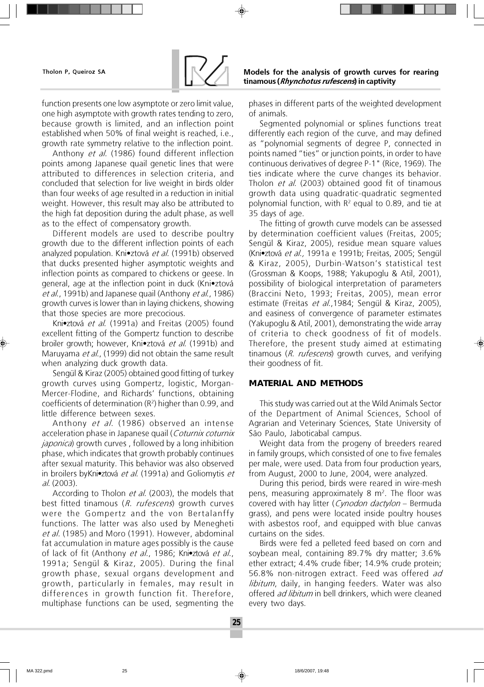

function presents one low asymptote or zero limit value, one high asymptote with growth rates tending to zero, because growth is limited, and an inflection point established when 50% of final weight is reached, i.e., growth rate symmetry relative to the inflection point.

Anthony et al. (1986) found different inflection points among Japanese quail genetic lines that were attributed to differences in selection criteria, and concluded that selection for live weight in birds older than four weeks of age resulted in a reduction in initial weight. However, this result may also be attributed to the high fat deposition during the adult phase, as well as to the effect of compensatory growth.

Different models are used to describe poultry growth due to the different inflection points of each analyzed population. Kni•ztová et al. (1991b) observed that ducks presented higher asymptotic weights and inflection points as compared to chickens or geese. In general, age at the inflection point in duck (Kni•ztová et al., 1991b) and Japanese quail (Anthony et al., 1986) growth curves is lower than in laying chickens, showing that those species are more precocious.

Kni•ztová et al. (1991a) and Freitas (2005) found excellent fitting of the Gompertz function to describe broiler growth; however, Kni•ztová *et al.* (1991b) and Maruyama et al., (1999) did not obtain the same result when analyzing duck growth data.

Sengül & Kiraz (2005) obtained good fitting of turkey growth curves using Gompertz, logistic, Morgan-Mercer-Flodine, and Richards' functions, obtaining coefficients of determination (R<sup>2</sup> ) higher than 0.99, and little difference between sexes.

Anthony et al. (1986) observed an intense acceleration phase in Japanese quail (Coturnix coturnix *japonica*) growth curves, followed by a long inhibition phase, which indicates that growth probably continues after sexual maturity. This behavior was also observed in broilers byKni•ztová et al. (1991a) and Goliomytis et al. (2003).

According to Tholon *et al.* (2003), the models that best fitted tinamous (R. rufescens) growth curves were the Gompertz and the von Bertalanffy functions. The latter was also used by Menegheti et al. (1985) and Moro (1991). However, abdominal fat accumulation in mature ages possibly is the cause of lack of fit (Anthony et al., 1986; Kni•ztová et al., 1991a; Sengül & Kiraz, 2005). During the final growth phase, sexual organs development and growth, particularly in females, may result in differences in growth function fit. Therefore, multiphase functions can be used, segmenting the

phases in different parts of the weighted development of animals.

Segmented polynomial or splines functions treat differently each region of the curve, and may defined as "polynomial segments of degree P, connected in points named "ties" or junction points, in order to have continuous derivatives of degree P-1" (Rice, 1969). The ties indicate where the curve changes its behavior. Tholon *et al.* (2003) obtained good fit of tinamous growth data using quadratic-quadratic segmented polynomial function, with  $R^2$  equal to 0.89, and tie at 35 days of age.

The fitting of growth curve models can be assessed by determination coefficient values (Freitas, 2005; Sengül & Kiraz, 2005), residue mean square values (Kni•ztová et al., 1991a e 1991b; Freitas, 2005; Sengül & Kiraz, 2005), Durbin-Watson's statistical test (Grossman & Koops, 1988; Yakupoglu & Atil, 2001), possibility of biological interpretation of parameters (Braccini Neto, 1993; Freitas, 2005), mean error estimate (Freitas et al., 1984; Sengül & Kiraz, 2005), and easiness of convergence of parameter estimates (Yakupoglu & Atil, 2001), demonstrating the wide array of criteria to check goodness of fit of models. Therefore, the present study aimed at estimating tinamous (R. rufescens) growth curves, and verifying their goodness of fit.

# **MATERIAL AND METHODS**

This study was carried out at the Wild Animals Sector of the Department of Animal Sciences, School of Agrarian and Veterinary Sciences, State University of São Paulo, Jaboticabal campus.

Weight data from the progeny of breeders reared in family groups, which consisted of one to five females per male, were used. Data from four production years, from August, 2000 to June, 2004, were analyzed.

During this period, birds were reared in wire-mesh pens, measuring approximately 8  $m<sup>2</sup>$ . The floor was covered with hay litter (*Cynodon dactylon* – Bermuda grass), and pens were located inside poultry houses with asbestos roof, and equipped with blue canvas curtains on the sides.

Birds were fed a pelleted feed based on corn and soybean meal, containing 89.7% dry matter; 3.6% ether extract; 4.4% crude fiber; 14.9% crude protein; 56.8% non-nitrogen extract. Feed was offered ad libitum, daily, in hanging feeders. Water was also offered ad libitum in bell drinkers, which were cleaned every two days.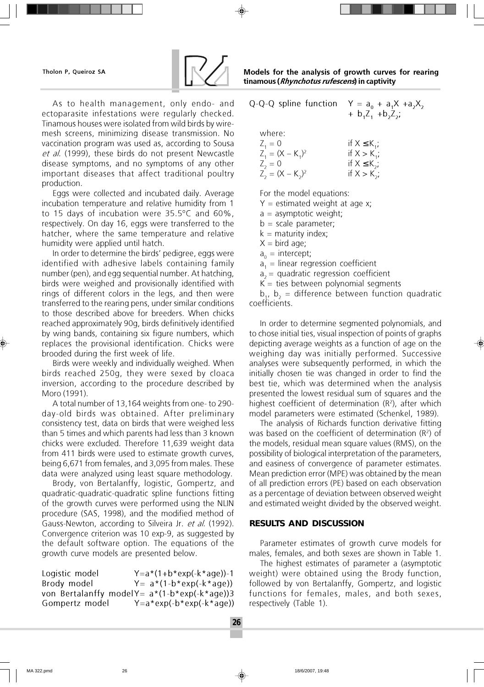

As to health management, only endo- and ectoparasite infestations were regularly checked. Tinamous houses were isolated from wild birds by wiremesh screens, minimizing disease transmission. No vaccination program was used as, according to Sousa et al. (1999), these birds do not present Newcastle disease symptoms, and no symptoms of any other important diseases that affect traditional poultry production.

Eggs were collected and incubated daily. Average incubation temperature and relative humidity from 1 to 15 days of incubation were 35.5ºC and 60%, respectively. On day 16, eggs were transferred to the hatcher, where the same temperature and relative humidity were applied until hatch.

In order to determine the birds' pedigree, eggs were identified with adhesive labels containing family number (pen), and egg sequential number. At hatching, birds were weighed and provisionally identified with rings of different colors in the legs, and then were transferred to the rearing pens, under similar conditions to those described above for breeders. When chicks reached approximately 90g, birds definitively identified by wing bands, containing six figure numbers, which replaces the provisional identification. Chicks were brooded during the first week of life.

Birds were weekly and individually weighed. When birds reached 250g, they were sexed by cloaca inversion, according to the procedure described by Moro (1991).

A total number of 13,164 weights from one- to 290 day-old birds was obtained. After preliminary consistency test, data on birds that were weighed less than 5 times and which parents had less than 3 known chicks were excluded. Therefore 11,639 weight data from 411 birds were used to estimate growth curves, being 6,671 from females, and 3,095 from males. These data were analyzed using least square methodology.

Brody, von Bertalanffy, logistic, Gompertz, and quadratic-quadratic-quadratic spline functions fitting of the growth curves were performed using the NLIN procedure (SAS, 1998), and the modified method of Gauss-Newton, according to Silveira Jr. et al. (1992). Convergence criterion was 10 exp-9, as suggested by the default software option. The equations of the growth curve models are presented below.

Logistic model Y=a\*(1+b\*exp(-k\*age))-1 Brody model  $Y= a*(1-b*exp(-k*age))$ von Bertalanffy modelY=  $a*(1-b*exp(-k*age))$ 3 Gompertz model Y=a\*exp(-b\*exp(-k\*age))

| Q-Q-Q spline function                                     | $Y = a_0 + a_1X + a_2X_2$<br>+ $b_1Z_1$ + $b_2Z_2$ ;           |
|-----------------------------------------------------------|----------------------------------------------------------------|
| where:<br>$Z_1 = 0$<br>$Z_1 = (X - K_1)^2$<br>$Z_{2} = 0$ | if $X \leq K_{1}$ ;<br>if $X > K_{1}$ ;<br>if $X \leq K_{2}$ ; |
| $Z_2 = (X - K_2)^2$                                       | if $X > K_{2}$ ;                                               |
|                                                           |                                                                |

For the model equations:

 $Y =$  estimated weight at age x;

 $a =$  asymptotic weight;

 $b = scale parameter;$ 

 $k =$  maturity index;

 $X = \text{bird age}$ ;

 $a_0 =$  intercept;

 $a_1$  = linear regression coefficient

 $a<sub>2</sub>$  = quadratic regression coefficient

 $K =$  ties between polynomial segments

 $b_1$ ,  $b_2$  = difference between function quadratic coefficients.

In order to determine segmented polynomials, and to chose initial ties, visual inspection of points of graphs depicting average weights as a function of age on the weighing day was initially performed. Successive analyses were subsequently performed, in which the initially chosen tie was changed in order to find the best tie, which was determined when the analysis presented the lowest residual sum of squares and the highest coefficient of determination  $(R^2)$ , after which model parameters were estimated (Schenkel, 1989).

The analysis of Richards function derivative fitting was based on the coefficient of determination  $(R^2)$  of the models, residual mean square values (RMS), on the possibility of biological interpretation of the parameters, and easiness of convergence of parameter estimates. Mean prediction error (MPE) was obtained by the mean of all prediction errors (PE) based on each observation as a percentage of deviation between observed weight and estimated weight divided by the observed weight.

# **RESULTS AND DISCUSSION**

Parameter estimates of growth curve models for males, females, and both sexes are shown in Table 1.

The highest estimates of parameter a (asymptotic weight) were obtained using the Brody function, followed by von Bertalanffy, Gompertz, and logistic functions for females, males, and both sexes, respectively (Table 1).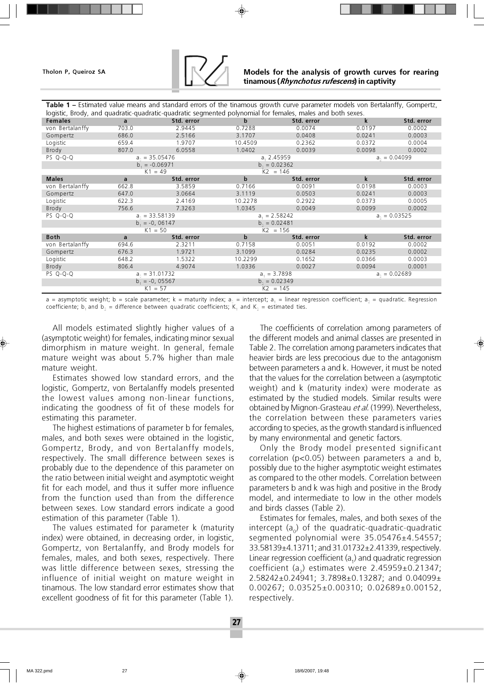

| Table 1 – Estimated value means and standard errors of the tinamous growth curve parameter models von Bertalanffy, Gompertz, |                                  |            |               |                 |                   |                   |  |
|------------------------------------------------------------------------------------------------------------------------------|----------------------------------|------------|---------------|-----------------|-------------------|-------------------|--|
| logistic, Brody, and quadratic-quadratic-quadratic segmented polynomial for females, males and both sexes.                   |                                  |            |               |                 |                   |                   |  |
| <b>Females</b>                                                                                                               | a                                | Std. error | b             | Std. error      | k                 | Std. error        |  |
| von Bertalanffy                                                                                                              | 703.0                            | 2.9445     | 0.7288        | 0.0074          | 0.0197            | 0.0002            |  |
| Gompertz                                                                                                                     | 686.0                            | 2.5166     | 3.1707        | 0.0408          | 0.0241            | 0.0003            |  |
| Logistic                                                                                                                     | 659.4                            | 1.9707     | 10.4509       | 0.2362          | 0.0372            | 0.0004            |  |
| Brody                                                                                                                        | 807.0                            | 6.0558     | 1.0402        | 0.0039          | 0.0098            | 0.0002            |  |
| PS Q-Q-Q                                                                                                                     | $as = 35.05476$                  |            | a, 2.45959    |                 | $a_{-} = 0.04099$ |                   |  |
|                                                                                                                              | $b = -0.06971$                   |            |               | $b = 0.02362$   |                   |                   |  |
|                                                                                                                              | $K1 = 49$                        |            |               | $K2 = 146$      |                   |                   |  |
| <b>Males</b>                                                                                                                 | a                                | Std. error | $\mathbf b$   | Std. error      | $\mathbf k$       | Std. error        |  |
| von Bertalanffy                                                                                                              | 662.8                            | 3.5859     | 0.7166        | 0.0091          | 0.0198            | 0.0003            |  |
| Gompertz                                                                                                                     | 647.0                            | 3.0664     | 3.1119        | 0.0503          | 0.0241            | 0.0003            |  |
| Logistic                                                                                                                     | 622.3                            | 2.4169     | 10.2278       | 0.2922          | 0.0373            | 0.0005            |  |
| Brody                                                                                                                        | 756.6                            | 7.3263     | 1.0345        | 0.0049          | 0.0099            | 0.0002            |  |
| PS Q-Q-Q                                                                                                                     | $as = 33.58139$                  |            |               | $a_1 = 2.58242$ |                   | $a_{1} = 0.03525$ |  |
|                                                                                                                              | $b = -0, 06147$<br>$b = 0.02481$ |            |               |                 |                   |                   |  |
|                                                                                                                              | $K1 = 50$                        |            | $K2 = 156$    |                 |                   |                   |  |
| <b>Both</b>                                                                                                                  | a                                | Std. error | b             | Std. error      | $\mathbf{k}$      | Std. error        |  |
| von Bertalanffy                                                                                                              | 694.6                            | 2.3211     | 0.7158        | 0.0051          | 0.0192            | 0.0002            |  |
| Gompertz                                                                                                                     | 676.3                            | 1.9721     | 3.1099        | 0.0284          | 0.0235            | 0.0002            |  |
| Logistic                                                                                                                     | 648.2                            | 1.5322     | 10.2299       | 0.1652          | 0.0366            | 0.0003            |  |
| Brody                                                                                                                        | 806.4                            | 4.9074     | 1.0336        | 0.0027          | 0.0094            | 0.0001            |  |
| PS Q-Q-Q                                                                                                                     | $a_{0} = 31.01732$               |            | $a1 = 3.7898$ |                 | $a_{1} = 0.02689$ |                   |  |
|                                                                                                                              | $b_1 = -0, 05567$                |            | $b = 0.02349$ |                 |                   |                   |  |
|                                                                                                                              | $K1 = 57$                        |            | $K2 = 145$    |                 |                   |                   |  |

a = asymptotic weight; b = scale parameter; k = maturity index; a $_{\circ}$  = intercept; a $_{\circ}$  = linear regression coefficient; a $_{\circ}$  = quadratic. Regression coefficiente; b<sub>1</sub> and b<sub>2</sub> = difference between quadratic coefficients;  $K_1$  and  $K_2$  = estimated ties.

All models estimated slightly higher values of a (asymptotic weight) for females, indicating minor sexual dimorphism in mature weight. In general, female mature weight was about 5.7% higher than male mature weight.

Estimates showed low standard errors, and the logistic, Gompertz, von Bertalanffy models presented the lowest values among non-linear functions, indicating the goodness of fit of these models for estimating this parameter.

The highest estimations of parameter b for females, males, and both sexes were obtained in the logistic, Gompertz, Brody, and von Bertalanffy models, respectively. The small difference between sexes is probably due to the dependence of this parameter on the ratio between initial weight and asymptotic weight fit for each model, and thus it suffer more influence from the function used than from the difference between sexes. Low standard errors indicate a good estimation of this parameter (Table 1).

The values estimated for parameter k (maturity index) were obtained, in decreasing order, in logistic, Gompertz, von Bertalanffy, and Brody models for females, males, and both sexes, respectively. There was little difference between sexes, stressing the influence of initial weight on mature weight in tinamous. The low standard error estimates show that excellent goodness of fit for this parameter (Table 1).

The coefficients of correlation among parameters of the different models and animal classes are presented in Table 2. The correlation among parameters indicates that heavier birds are less precocious due to the antagonism between parameters a and k. However, it must be noted that the values for the correlation between a (asymptotic weight) and k (maturity index) were moderate as estimated by the studied models. Similar results were obtained by Mignon-Grasteau et al. (1999). Nevertheless, the correlation between these parameters varies according to species, as the growth standard is influenced by many environmental and genetic factors.

Only the Brody model presented significant correlation (p<0.05) between parameters a and b, possibly due to the higher asymptotic weight estimates as compared to the other models. Correlation between parameters b and k was high and positive in the Brody model, and intermediate to low in the other models and birds classes (Table 2).

Estimates for females, males, and both sexes of the intercept  $(a_0)$  of the quadratic-quadratic-quadratic segmented polynomial were 35.05476±4.54557; 33.58139±4.13711; and 31.01732±2.41339, respectively. Linear regression coefficient  $(a_1)$  and quadratic regression coefficient  $(a_2)$  estimates were 2.45959 $\pm$ 0.21347; 2.58242±0.24941; 3.7898±0.13287; and 0.04099± 0.00267; 0.03525±0.00310; 0.02689±0.00152, respectively.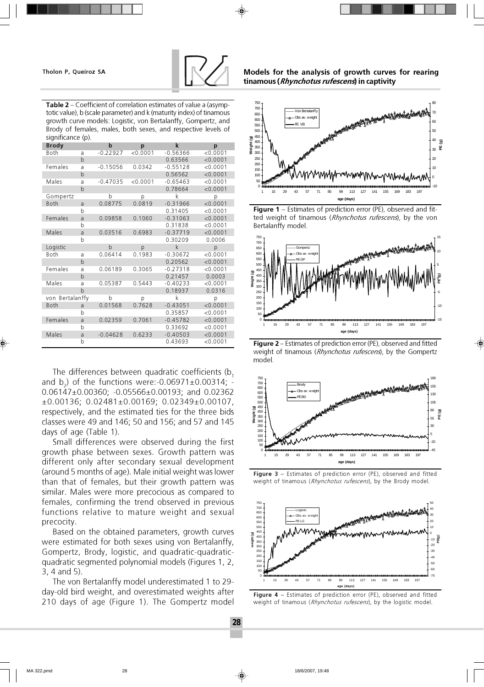

650 700 750 Table 2 – Coefficient of correlation estimates of value a (asymp-

totic value), b (scale parameter) and k (maturity index) of tinamous growth curve models: Logistic, von Bertalanffy, Gompertz, and Brody of females, males, both sexes, and respective levels of significance (p).

| <b>Brody</b>    |              | b          | p        | k           | p        |
|-----------------|--------------|------------|----------|-------------|----------|
| Both            | a            | $-0.22927$ | < 0.0001 | $-0.56366$  | < 0.0001 |
|                 | $\mathsf b$  |            |          | 0.63566     | < 0.0001 |
| Females         | a            | $-0.15056$ | 0.0342   | $-0.55128$  | < 0.0001 |
|                 | $\mathsf b$  |            |          | 0.56562     | < 0.0001 |
| Males           | a            | $-0.47035$ | < 0.0001 | $-0.65463$  | < 0.0001 |
|                 | $\mathbf b$  |            |          | 0.78664     | < 0.0001 |
| Gompertz        |              | b          | р        | k           | р        |
| <b>Both</b>     | a            | 0.08775    | 0.0819   | $-0.31966$  | < 0.0001 |
|                 | b            |            |          | 0.31405     | < 0.0001 |
| Females         | a            | 0.09858    | 0.1060   | $-0.31063$  | < 0.0001 |
|                 | b            |            |          | 0.31838     | < 0.0001 |
| Males           | a            | 0.03516    | 0.6983   | $-0.37719$  | < 0.0001 |
|                 | b            |            |          | 0.30209     | 0.0006   |
| Logistic        |              | b          | p        | $\mathsf k$ | p        |
| Both            | a            | 0.06414    | 0.1983   | $-0.30672$  | < 0.0001 |
|                 | b            |            |          | 0.20562     | < 0.0001 |
| Females         | a            | 0.06189    | 0.3065   | $-0.27318$  | < 0.0001 |
|                 | $\mathsf b$  |            |          | 0.21457     | 0.0003   |
| Males           | a            | 0.05387    | 0.5443   | $-0.40233$  | < 0.0001 |
|                 | $\mathsf{b}$ |            |          | 0.18937     | 0.0316   |
| von Bertalanffy |              | b          | p        | k           | p        |
| Both            | a            | 0.01568    | 0.7628   | $-0.43051$  | < 0.0001 |
|                 | b            |            |          | 0.35857     | < 0.0001 |
| Females         | a            | 0.02359    | 0.7061   | $-0.45782$  | < 0.0001 |
|                 | b            |            |          | 0.33692     | < 0.0001 |
| Males           | a            | $-0.04628$ | 0.6233   | $-0.40503$  | < 0.0001 |
|                 | b            |            |          | 0.43693     | < 0.0001 |

The differences between quadratic coefficients  $(b, b)$ and  $b_2$ ) of the functions were:-0.06971 $\pm$ 0.00314; -0.06147±0.00360; -0.05566±0.00193; and 0.02362 ±0.00136; 0.02481±0.00169; 0.02349±0.00107, respectively, and the estimated ties for the three bids classes were 49 and 146; 50 and 156; and 57 and 145 days of age (Table 1).

Small differences were observed during the first growth phase between sexes. Growth pattern was different only after secondary sexual development (around 5 months of age). Male initial weight was lower than that of females, but their growth pattern was similar. Males were more precocious as compared to females, confirming the trend observed in previous functions relative to mature weight and sexual precocity.

Based on the obtained parameters, growth curves were estimated for both sexes using von Bertalanffy, Gompertz, Brody, logistic, and quadratic-quadraticquadratic segmented polynomial models (Figures 1, 2, 3, 4 and 5).

The von Bertalanffy model underestimated 1 to 29 day-old bird weight, and overestimated weights after 210 days of age (Figure 1). The Gompertz model

#### Tholon P, Queiroz SA Models for the analysis of growth curves for rearing tinamous (*Rhynchotus rufescens*) in captivity



**Figure 1** – Estimates of prediction error (PE), observed and fitted weight of tinamous (Rhynchotus rufescens), by the von Bertalanffy model.



**Figure 2** – Estimates of prediction error (PE), observed and fitted weight of tinamous (Rhynchotus rufescens), by the Gompertz model.



Figure 3 – Estimates of prediction error (PE), observed and fitted weight of tinamous (Rhynchotus rufescens), by the Brody model.



Figure 4 - Estimates of prediction error (PE), observed and fitted weight of tinamous (Rhynchotus rufescens), by the logistic model.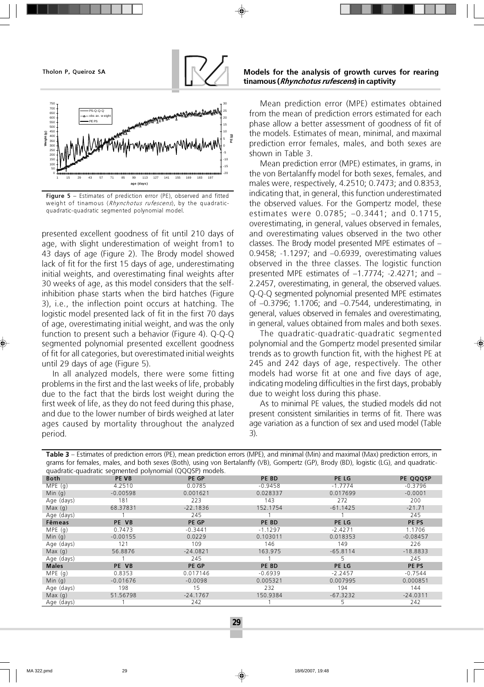



Figure 5 – Estimates of prediction error (PE), observed and fitted weight of tinamous (Rhynchotus rufescens), by the quadraticquadratic-quadratic segmented polynomial model.

presented excellent goodness of fit until 210 days of age, with slight underestimation of weight from1 to 43 days of age (Figure 2). The Brody model showed lack of fit for the first 15 days of age, underestimating initial weights, and overestimating final weights after 30 weeks of age, as this model considers that the selfinhibition phase starts when the bird hatches (Figure 3), i.e., the inflection point occurs at hatching. The logistic model presented lack of fit in the first 70 days of age, overestimating initial weight, and was the only function to present such a behavior (Figure 4). Q-Q-Q segmented polynomial presented excellent goodness of fit for all categories, but overestimated initial weights until 29 days of age (Figure 5).

In all analyzed models, there were some fitting problems in the first and the last weeks of life, probably due to the fact that the birds lost weight during the first week of life, as they do not feed during this phase, and due to the lower number of birds weighed at later ages caused by mortality throughout the analyzed period.

#### Tholon P, Queiroz SA Models for the analysis of growth curves for rearing tinamous (*Rhynchotus rufescens*) in captivity

Mean prediction error (MPE) estimates obtained from the mean of prediction errors estimated for each phase allow a better assessment of goodness of fit of the models. Estimates of mean, minimal, and maximal prediction error females, males, and both sexes are shown in Table 3.

Mean prediction error (MPE) estimates, in grams, in the von Bertalanffy model for both sexes, females, and males were, respectively, 4.2510; 0.7473; and 0.8353, indicating that, in general, this function underestimated the observed values. For the Gompertz model, these estimates were 0.0785; –0.3441; and 0.1715, overestimating, in general, values observed in females, and overestimating values observed in the two other classes. The Brody model presented MPE estimates of – 0.9458; -1.1297; and –0.6939, overestimating values observed in the three classes. The logistic function presented MPE estimates of –1.7774; -2.4271; and – 2.2457, overestimating, in general, the observed values. Q-Q-Q segmented polynomial presented MPE estimates of –0.3796; 1.1706; and –0.7544, underestimating, in general, values observed in females and overestimating, in general, values obtained from males and both sexes.

The quadratic-quadratic-quadratic segmented polynomial and the Gompertz model presented similar trends as to growth function fit, with the highest PE at 245 and 242 days of age, respectively. The other models had worse fit at one and five days of age, indicating modeling difficulties in the first days, probably due to weight loss during this phase.

As to minimal PE values, the studied models did not present consistent similarities in terms of fit. There was age variation as a function of sex and used model (Table 3).

Table 3 – Estimates of prediction errors (PE), mean prediction errors (MPE), and minimal (Min) and maximal (Max) prediction errors, in grams for females, males, and both sexes (Both), using von Bertalanffy (VB), Gompertz (GP), Brody (BD), logistic (LG), and quadratic-

| quadratic-quadratic segmented polynomial (QQQSP) models. |            |            |           |            |            |
|----------------------------------------------------------|------------|------------|-----------|------------|------------|
| <b>Both</b>                                              | PE VB      | PE GP      | PE BD     | PE LG      | PE QQQSP   |
| MPE(g)                                                   | 4.2510     | 0.0785     | $-0.9458$ | $-1.7774$  | $-0.3796$  |
| Min $(q)$                                                | $-0.00598$ | 0.001621   | 0.028337  | 0.017699   | $-0.0001$  |
| Age (days)                                               | 181        | 223        | 143       | 272        | 200        |
| Max(q)                                                   | 68.37831   | $-22.1836$ | 152.1754  | $-61.1425$ | $-21.71$   |
| Age (days)                                               |            | 245        |           |            | 245        |
| Fêmeas                                                   | PE VB      | PE GP      | PE BD     | PE LG      | PE PS      |
| MPE $(q)$                                                | 0.7473     | $-0.3441$  | $-1.1297$ | $-2.4271$  | 1.1706     |
| Min $(q)$                                                | $-0.00155$ | 0.0229     | 0.103011  | 0.018353   | $-0.08457$ |
| Age (days)                                               | 121        | 109        | 146       | 149        | 226        |
| Max(q)                                                   | 56.8876    | $-24.0821$ | 163.975   | $-65.8114$ | $-18.8833$ |
| Age (days)                                               |            | 245        |           | 5          | 245        |
| <b>Males</b>                                             | PE VB      | PE GP      | PE BD     | PE LG      | PE PS      |
| MPE $(q)$                                                | 0.8353     | 0.017146   | $-0.6939$ | $-2.2457$  | $-0.7544$  |
| Min $(q)$                                                | $-0.01676$ | $-0.0098$  | 0.005321  | 0.007995   | 0.000851   |
| Age (days)                                               | 198        | 15         | 232       | 194        | 144        |
| Max(q)                                                   | 51.56798   | $-24.1767$ | 150.9384  | $-67.3232$ | $-24.0311$ |
| Age (days)                                               |            | 242        |           | כ          | 242        |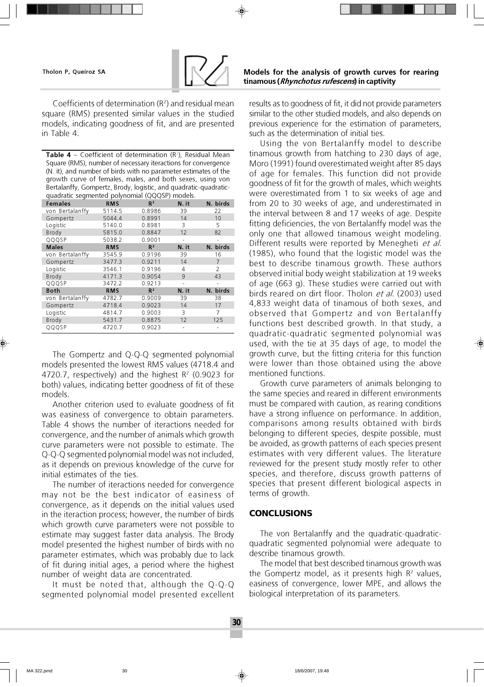

Coefficients of determination  $(R^2)$  and residual mean square (RMS) presented similar values in the studied models, indicating goodness of fit, and are presented in Table 4.

**Table 4** – Coefficient of determination  $(R^2)$ , Residual Mean Square (RMS), number of necessary iteractions for convergence (N. it), and number of birds with no parameter estimates of the growth curve of females, males, and both sexes, using von Bertalanffy, Gompertz, Brody, logistic, and quadratic-quadraticquadratic segmented polynomial (QQQSP) models.

| <b>Females</b>  | <b>RMS</b> | $R^2$          | N. it | N. birds |
|-----------------|------------|----------------|-------|----------|
| von Bertalanffy | 5114.5     | 0.8986         | 39    | 22       |
| Gompertz        | 5044.4     | 0.8991         | 14    | 10       |
| Logistic        | 5140.0     | 0.8981         | 3     | 5        |
| Brody           | 5815.0     | 0.8847         | 12    | 82       |
| QQQSP           | 5038.2     | 0.9001         |       |          |
| <b>Males</b>    | <b>RMS</b> | R <sup>2</sup> | N. it | N. birds |
| von Bertalanffy | 3545.9     | 0.9196         | 39    | 16       |
| Gompertz        | 3477.3     | 0.9211         | 14    | 7        |
| Logistic        | 3546.1     | 0.9196         | 4     | 2        |
| Brody           | 4171.3     | 0.9054         | 9     | 43       |
| QQQSP           | 3472.2     | 0.9213         |       |          |
| <b>Both</b>     | <b>RMS</b> | R <sup>2</sup> | N. it | N. birds |
| von Bertalanffy | 4782.7     | 0.9009         | 39    | 38       |
| Gompertz        | 4718.4     | 0.9023         | 14    | 17       |
| Logistic        | 4814.7     | 0.9003         | 3     | 7        |
| Brody           | 5431.7     | 0.8875         | 12    | 125      |
| QQQSP           | 4720.7     | 0.9023         |       |          |

The Gompertz and Q-Q-Q segmented polynomial models presented the lowest RMS values (4718.4 and 4720.7, respectively) and the highest R<sup>2</sup> (0.9023 for both) values, indicating better goodness of fit of these models.

Another criterion used to evaluate goodness of fit was easiness of convergence to obtain parameters. Table 4 shows the number of iteractions needed for convergence, and the number of animals which growth curve parameters were not possible to estimate. The Q-Q-Q segmented polynomial model was not included, as it depends on previous knowledge of the curve for initial estimates of the ties.

The number of iteractions needed for convergence may not be the best indicator of easiness of convergence, as it depends on the initial values used in the iteraction process; however, the number of birds which growth curve parameters were not possible to estimate may suggest faster data analysis. The Brody model presented the highest number of birds with no parameter estimates, which was probably due to lack of fit during initial ages, a period where the highest number of weight data are concentrated.

It must be noted that, although the Q-Q-Q segmented polynomial model presented excellent

### Tholon P, Queiroz SA Models for the analysis of growth curves for rearing tinamous (Rhynchotus rufescens) in captivity

results as to goodness of fit, it did not provide parameters similar to the other studied models, and also depends on previous experience for the estimation of parameters, such as the determination of initial ties.

Using the von Bertalanffy model to describe tinamous growth from hatching to 230 days of age, Moro (1991) found overestimated weight after 85 days of age for females. This function did not provide goodness of fit for the growth of males, which weights were overestimated from 1 to six weeks of age and from 20 to 30 weeks of age, and underestimated in the interval between 8 and 17 weeks of age. Despite fitting deficiencies, the von Bertalanffy model was the only one that allowed tinamous weight modeling. Different results were reported by Menegheti et al. (1985), who found that the logistic model was the best to describe tinamous growth. These authors observed initial body weight stabilization at 19 weeks of age (663 g). These studies were carried out with birds reared on dirt floor. Tholon et al. (2003) used 4,833 weight data of tinamous of both sexes, and observed that Gompertz and von Bertalanffy functions best described growth. In that study, a quadratic-quadratic segmented polynomial was used, with the tie at 35 days of age, to model the growth curve, but the fitting criteria for this function were lower than those obtained using the above mentioned functions.

Growth curve parameters of animals belonging to the same species and reared in different environments must be compared with caution, as rearing conditions have a strong influence on performance. In addition, comparisons among results obtained with birds belonging to different species, despite possible, must be avoided, as growth patterns of each species present estimates with very different values. The literature reviewed for the present study mostly refer to other species, and therefore, discuss growth patterns of species that present different biological aspects in terms of growth.

# **CONCLUSIONS**

The von Bertalanffy and the quadratic-quadraticquadratic segmented polynomial were adequate to describe tinamous growth.

The model that best described tinamous growth was the Gompertz model, as it presents high  $R<sup>2</sup>$  values, easiness of convergence, lower MPE, and allows the biological interpretation of its parameters.